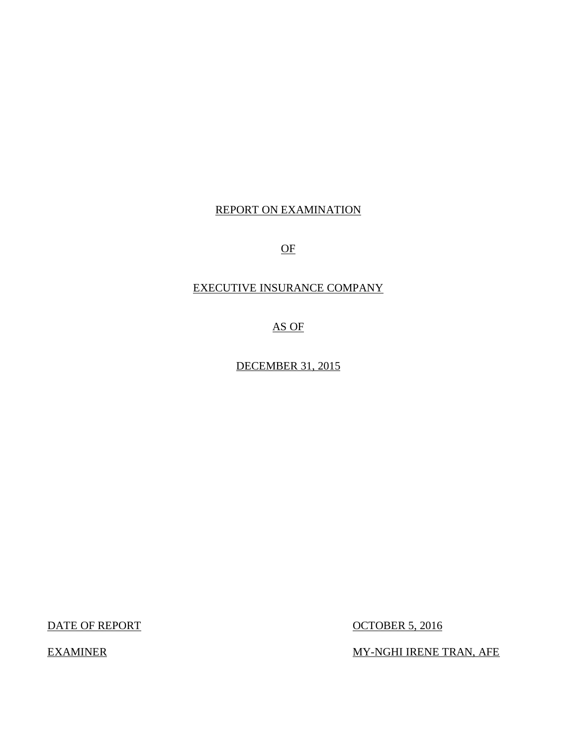# REPORT ON EXAMINATION

OF

# EXECUTIVE INSURANCE COMPANY

AS OF

DECEMBER 31, 2015

DATE OF REPORT OCTOBER 5, 2016

EXAMINER MY-NGHI IRENE TRAN, AFE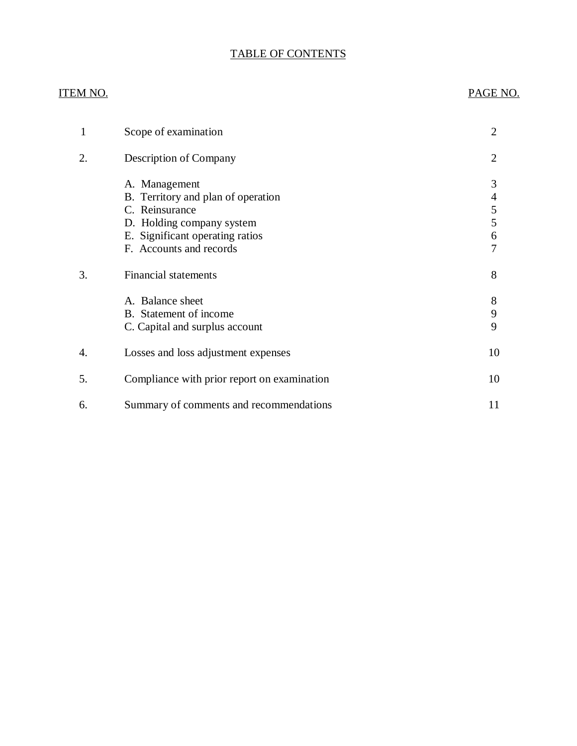# TABLE OF CONTENTS

# ITEM NO. PAGE NO.

| 1  | Scope of examination                                                                                                                                             | 2                          |
|----|------------------------------------------------------------------------------------------------------------------------------------------------------------------|----------------------------|
| 2. | Description of Company                                                                                                                                           | 2                          |
|    | A. Management<br>B. Territory and plan of operation<br>C. Reinsurance<br>D. Holding company system<br>E. Significant operating ratios<br>F. Accounts and records | 3<br>4<br>5<br>5<br>6<br>7 |
| 3. | <b>Financial statements</b>                                                                                                                                      | 8                          |
|    | A. Balance sheet<br>B. Statement of income<br>C. Capital and surplus account                                                                                     | 8<br>9<br>9                |
| 4. | Losses and loss adjustment expenses                                                                                                                              | 10                         |
| 5. | Compliance with prior report on examination                                                                                                                      | 10                         |
| 6. | Summary of comments and recommendations                                                                                                                          | 11                         |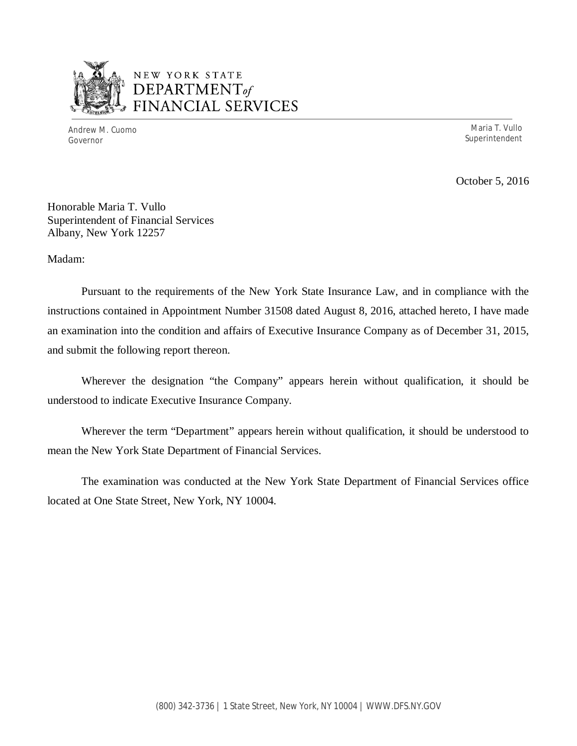

# NEW YORK STATE *DEPARTMENTof*  FINANCIAL SERVICES

Andrew M. Cuomo Maria T. Vullo Governor Superintendent

October 5, 2016

Honorable Maria T. Vullo Superintendent of Financial Services Albany, New York 12257

Madam:

Pursuant to the requirements of the New York State Insurance Law, and in compliance with the instructions contained in Appointment Number 31508 dated August 8, 2016, attached hereto, I have made an examination into the condition and affairs of Executive Insurance Company as of December 31, 2015, and submit the following report thereon.

Wherever the designation "the Company" appears herein without qualification, it should be understood to indicate Executive Insurance Company.

Wherever the term "Department" appears herein without qualification, it should be understood to mean the New York State Department of Financial Services.

The examination was conducted at the New York State Department of Financial Services office located at One State Street, New York, NY 10004.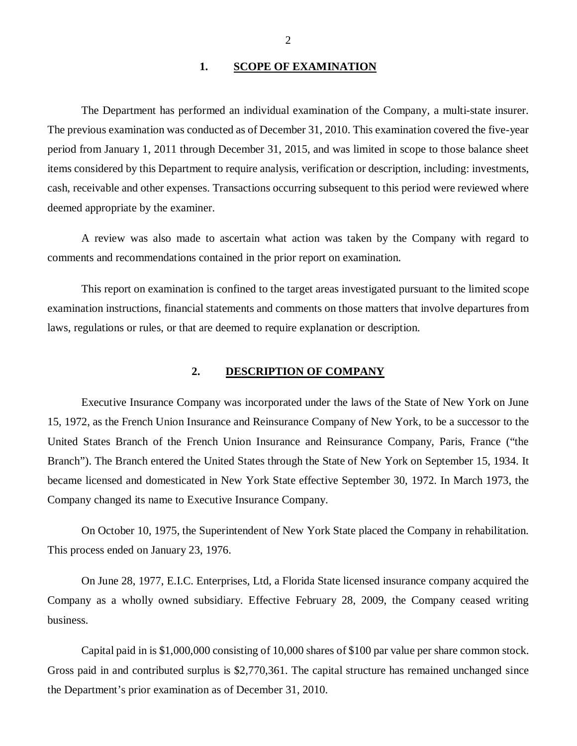### 1. SCOPE OF EXAMINATION

<span id="page-3-0"></span>The Department has performed an individual examination of the Company*,* a multi-state insurer. The previous examination was conducted as of December 31, 2010. This examination covered the five-year period from January 1, 2011 through December 31, 2015, and was limited in scope to those balance sheet items considered by this Department to require analysis, verification or description, including: investments, cash, receivable and other expenses. Transactions occurring subsequent to this period were reviewed where deemed appropriate by the examiner.

A review was also made to ascertain what action was taken by the Company with regard to comments and recommendations contained in the prior report on examination.

This report on examination is confined to the target areas investigated pursuant to the limited scope examination instructions, financial statements and comments on those matters that involve departures from laws, regulations or rules, or that are deemed to require explanation or description.

#### **2. DESCRIPTION OF COMPANY**

Executive Insurance Company was incorporated under the laws of the State of New York on June 15, 1972, as the French Union Insurance and Reinsurance Company of New York, to be a successor to the United States Branch of the French Union Insurance and Reinsurance Company, Paris, France ("the Branch"). The Branch entered the United States through the State of New York on September 15, 1934. It became licensed and domesticated in New York State effective September 30, 1972. In March 1973, the Company changed its name to Executive Insurance Company.

On October 10, 1975, the Superintendent of New York State placed the Company in rehabilitation. This process ended on January 23, 1976.

On June 28, 1977, E.I.C. Enterprises, Ltd, a Florida State licensed insurance company acquired the Company as a wholly owned subsidiary. Effective February 28, 2009, the Company ceased writing business.

Capital paid in is \$1,000,000 consisting of 10,000 shares of \$100 par value per share common stock. Gross paid in and contributed surplus is \$2,770,361. The capital structure has remained unchanged since the Department's prior examination as of December 31, 2010.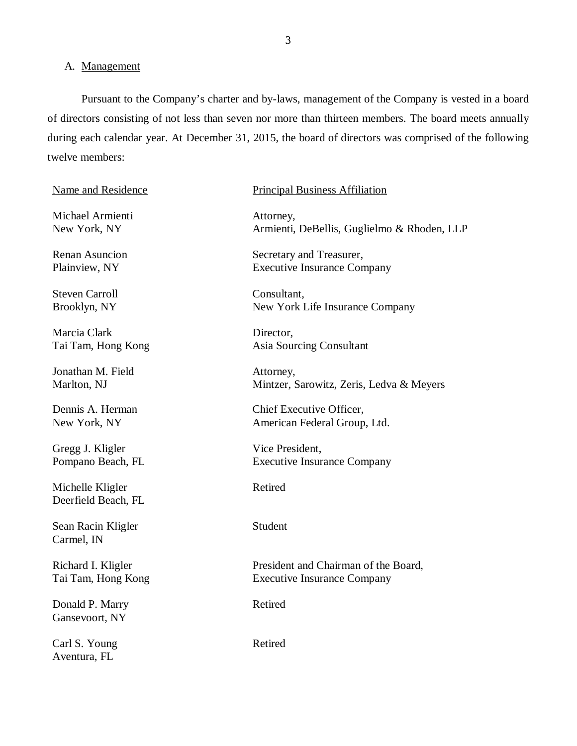#### A. Management

Pursuant to the Company's charter and by-laws, management of the Company is vested in a board of directors consisting of not less than seven nor more than thirteen members. The board meets annually during each calendar year. At December 31, 2015, the board of directors was comprised of the following twelve members:

Michael Armienti Attorney,

Steven Carroll Consultant,

Marcia Clark Director,

Jonathan M. Field Attorney,

Gregg J. Kligler Vice President,

Michelle Kligler Retired Deerfield Beach, FL

Sean Racin Kligler Student Carmel, IN

Donald P. Marry Retired Gansevoort, NY

Carl S. Young Retired Aventura, FL

#### Name and Residence Principal Business Affiliation

New York, NY Armienti, DeBellis, Guglielmo & Rhoden, LLP

Renan Asuncion Secretary and Treasurer, Plainview, NY Executive Insurance Company

Brooklyn, NY New York Life Insurance Company

Tai Tam, Hong Kong **Asia Sourcing Consultant** 

Marlton, NJ Mintzer, Sarowitz, Zeris, Ledva & Meyers

Dennis A. Herman Chief Executive Officer, New York, NY American Federal Group, Ltd.

Pompano Beach, FL Executive Insurance Company

Richard I. Kligler President and Chairman of the Board, Tai Tam, Hong Kong Executive Insurance Company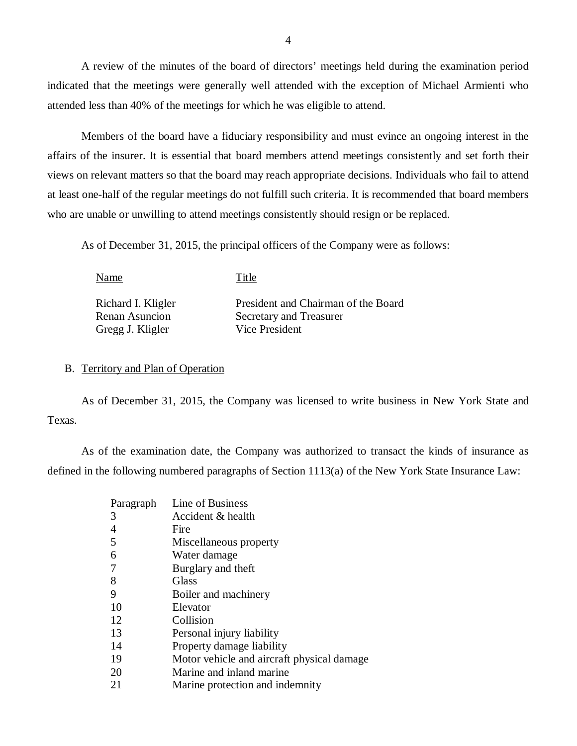A review of the minutes of the board of directors' meetings held during the examination period indicated that the meetings were generally well attended with the exception of Michael Armienti who attended less than 40% of the meetings for which he was eligible to attend.

Members of the board have a fiduciary responsibility and must evince an ongoing interest in the affairs of the insurer. It is essential that board members attend meetings consistently and set forth their views on relevant matters so that the board may reach appropriate decisions. Individuals who fail to attend at least one-half of the regular meetings do not fulfill such criteria. It is recommended that board members who are unable or unwilling to attend meetings consistently should resign or be replaced.

As of December 31, 2015, the principal officers of the Company were as follows:

Name Title Richard I. Kligler President and Chairman of the Board Renan Asuncion Secretary and Treasurer Gregg J. Kligler Vice President

### B. Territory and Plan of Operation

As of December 31, 2015, the Company was licensed to write business in New York State and Texas.

As of the examination date, the Company was authorized to transact the kinds of insurance as defined in the following numbered paragraphs of Section 1113(a) of the New York State Insurance Law:

| Paragraph | Line of Business                           |
|-----------|--------------------------------------------|
| 3         | Accident & health                          |
| 4         | Fire                                       |
| 5         | Miscellaneous property                     |
| 6         | Water damage                               |
|           | Burglary and theft                         |
| 8         | <b>Glass</b>                               |
| 9         | Boiler and machinery                       |
| 10        | Elevator                                   |
| 12        | Collision                                  |
| 13        | Personal injury liability                  |
| 14        | Property damage liability                  |
| 19        | Motor vehicle and aircraft physical damage |
| 20        | Marine and inland marine                   |
| 21        | Marine protection and indemnity            |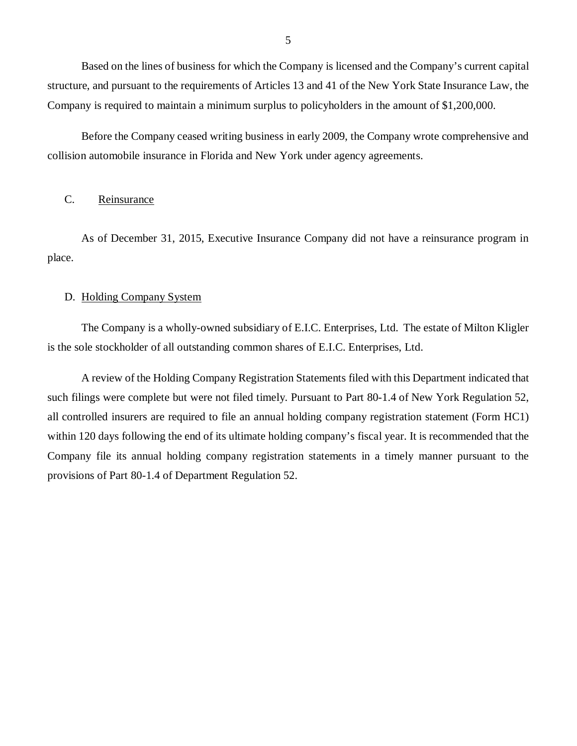<span id="page-6-0"></span>Based on the lines of business for which the Company is licensed and the Company's current capital structure, and pursuant to the requirements of Articles 13 and 41 of the New York State Insurance Law, the Company is required to maintain a minimum surplus to policyholders in the amount of \$1,200,000.

Before the Company ceased writing business in early 2009, the Company wrote comprehensive and collision automobile insurance in Florida and New York under agency agreements.

#### C. Reinsurance

As of December 31, 2015, Executive Insurance Company did not have a reinsurance program in place.

# D. Holding Company System

The Company is a wholly-owned subsidiary of E.I.C. Enterprises, Ltd. The estate of Milton Kligler is the sole stockholder of all outstanding common shares of E.I.C. Enterprises, Ltd.

A review of the Holding Company Registration Statements filed with this Department indicated that such filings were complete but were not filed timely. Pursuant to Part 80-1.4 of New York Regulation 52, all controlled insurers are required to file an annual holding company registration statement (Form HC1) within 120 days following the end of its ultimate holding company's fiscal year. It is recommended that the Company file its annual holding company registration statements in a timely manner pursuant to the provisions of Part 80-1.4 of Department Regulation 52.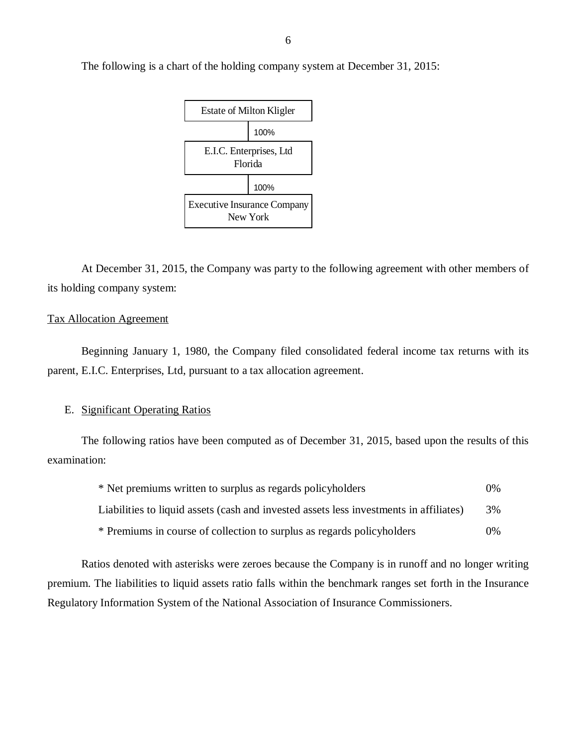

At December 31, 2015, the Company was party to the following agreement with other members of its holding company system:

#### Tax Allocation Agreement

Beginning January 1, 1980, the Company filed consolidated federal income tax returns with its parent, E.I.C. Enterprises, Ltd, pursuant to a tax allocation agreement.

# E. Significant Operating Ratios

The following ratios have been computed as of December 31, 2015, based upon the results of this examination:

| * Net premiums written to surplus as regards policyholders                             | $0\%$ |
|----------------------------------------------------------------------------------------|-------|
| Liabilities to liquid assets (cash and invested assets less investments in affiliates) | 3%    |
| * Premiums in course of collection to surplus as regards policyholders                 | $0\%$ |

Ratios denoted with asterisks were zeroes because the Company is in runoff and no longer writing premium. The liabilities to liquid assets ratio falls within the benchmark ranges set forth in the Insurance Regulatory Information System of the National Association of Insurance Commissioners.

The following is a chart of the holding company system at December 31, 2015: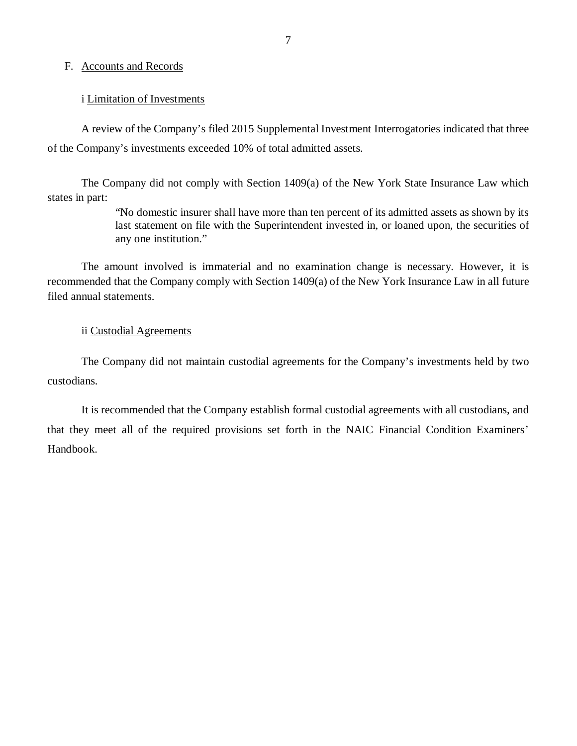#### <span id="page-8-0"></span>F. Accounts and Records

#### i Limitation of Investments

A review of the Company's filed 2015 Supplemental Investment Interrogatories indicated that three of the Company's investments exceeded 10% of total admitted assets.

The Company did not comply with Section 1409(a) of the New York State Insurance Law which states in part:

> "No domestic insurer shall have more than ten percent of its admitted assets as shown by its last statement on file with the Superintendent invested in, or loaned upon, the securities of any one institution."

The amount involved is immaterial and no examination change is necessary. However, it is recommended that the Company comply with Section 1409(a) of the New York Insurance Law in all future filed annual statements.

### ii Custodial Agreements

The Company did not maintain custodial agreements for the Company's investments held by two custodians.

It is recommended that the Company establish formal custodial agreements with all custodians, and that they meet all of the required provisions set forth in the NAIC Financial Condition Examiners' Handbook.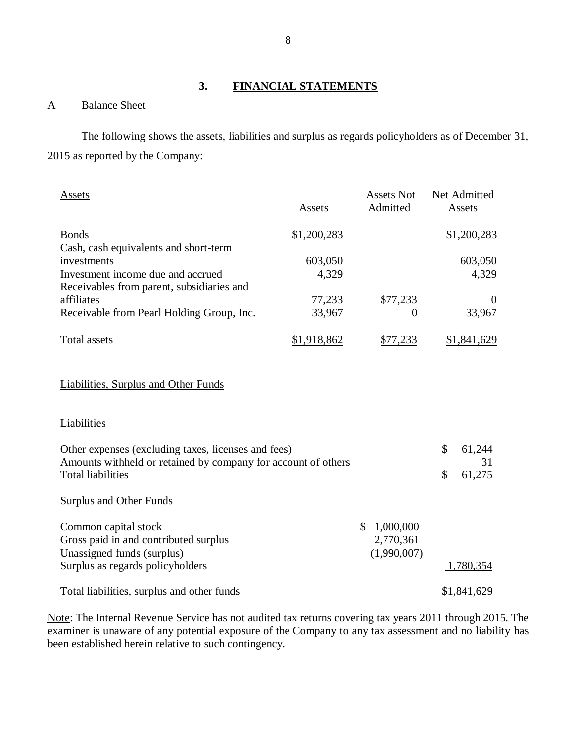# **3. FINANCIAL STATEMENTS**

# A Balance Sheet

The following shows the assets, liabilities and surplus as regards policyholders as of December 31, 2015 as reported by the Company:

| Assets                                    | Assets      | <b>Assets Not</b><br>Admitted | Net Admitted<br>Assets |
|-------------------------------------------|-------------|-------------------------------|------------------------|
| <b>Bonds</b>                              | \$1,200,283 |                               | \$1,200,283            |
| Cash, cash equivalents and short-term     |             |                               |                        |
| investments                               | 603,050     |                               | 603,050                |
| Investment income due and accrued         | 4,329       |                               | 4,329                  |
| Receivables from parent, subsidiaries and |             |                               |                        |
| affiliates                                | 77,233      | \$77,233                      | $\theta$               |
| Receivable from Pearl Holding Group, Inc. | 33,967      | $\left( \right)$              | 33,967                 |
| Total assets                              | .918.862    |                               | .841.629               |

# Liabilities, Surplus and Other Funds

#### **Liabilities**

| Other expenses (excluding taxes, licenses and fees)<br>Amounts withheld or retained by company for account of others |             | \$<br>61,244<br>31 |
|----------------------------------------------------------------------------------------------------------------------|-------------|--------------------|
| <b>Total liabilities</b>                                                                                             |             | \$<br>61,275       |
| <b>Surplus and Other Funds</b>                                                                                       |             |                    |
| Common capital stock                                                                                                 | 1,000,000   |                    |
| Gross paid in and contributed surplus                                                                                | 2,770,361   |                    |
| Unassigned funds (surplus)                                                                                           | (1,990,007) |                    |
| Surplus as regards policyholders                                                                                     |             | 1,780,354          |
| Total liabilities, surplus and other funds                                                                           |             | \$1,841,629        |

Note: The Internal Revenue Service has not audited tax returns covering tax years 2011 through 2015. The examiner is unaware of any potential exposure of the Company to any tax assessment and no liability has been established herein relative to such contingency.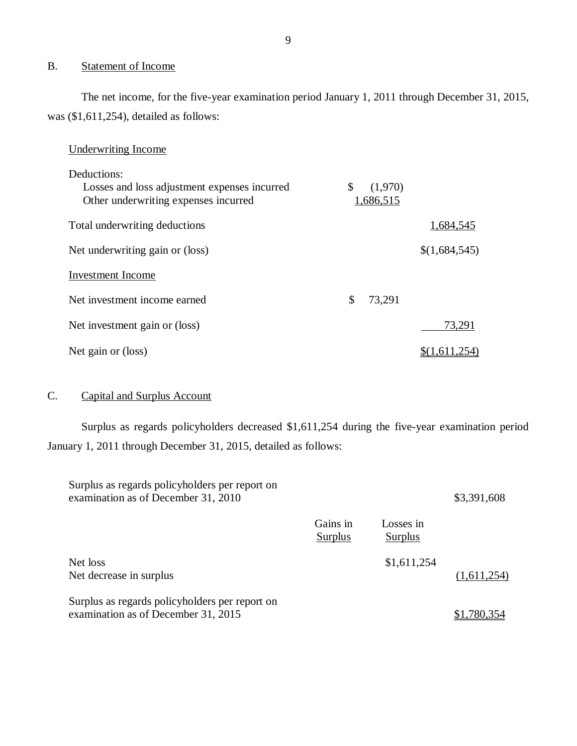# B. Statement of Income

The net income, for the five-year examination period January 1, 2011 through December 31, 2015, was (\$1,611,254), detailed as follows:

# Underwriting Income

| Deductions:                                  |               |               |
|----------------------------------------------|---------------|---------------|
| Losses and loss adjustment expenses incurred | \$<br>(1,970) |               |
| Other underwriting expenses incurred         | 1,686,515     |               |
| Total underwriting deductions                |               | 1,684,545     |
| Net underwriting gain or (loss)              |               | \$(1,684,545) |
| Investment Income                            |               |               |
| Net investment income earned                 | \$<br>73,291  |               |
| Net investment gain or (loss)                |               | 73,291        |
| Net gain or (loss)                           |               | \$(1,611,254) |

# C. Capital and Surplus Account

Surplus as regards policyholders decreased \$1,611,254 during the five-year examination period January 1, 2011 through December 31, 2015, detailed as follows:

| Surplus as regards policyholders per report on<br>examination as of December 31, 2010 |                     |                      | \$3,391,608 |
|---------------------------------------------------------------------------------------|---------------------|----------------------|-------------|
|                                                                                       | Gains in<br>Surplus | Losses in<br>Surplus |             |
| Net loss<br>Net decrease in surplus                                                   |                     | \$1,611,254          | (1,611,254) |
| Surplus as regards policyholders per report on<br>examination as of December 31, 2015 |                     |                      | -780.354    |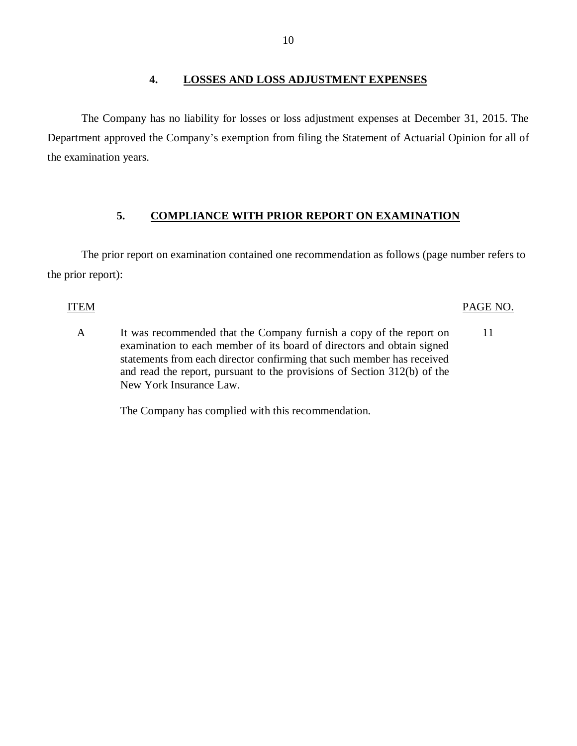### **4. LOSSES AND LOSS ADJUSTMENT EXPENSES**

<span id="page-11-0"></span>The Company has no liability for losses or loss adjustment expenses at December 31, 2015. The Department approved the Company's exemption from filing the Statement of Actuarial Opinion for all of the examination years.

# **5. COMPLIANCE WITH PRIOR REPORT ON EXAMINATION**

The prior report on examination contained one recommendation as follows (page number refers to the prior report):

# ITEM PAGE NO.

A It was recommended that the Company furnish a copy of the report on 11 examination to each member of its board of directors and obtain signed statements from each director confirming that such member has received and read the report, pursuant to the provisions of Section 312(b) of the New York Insurance Law.

The Company has complied with this recommendation.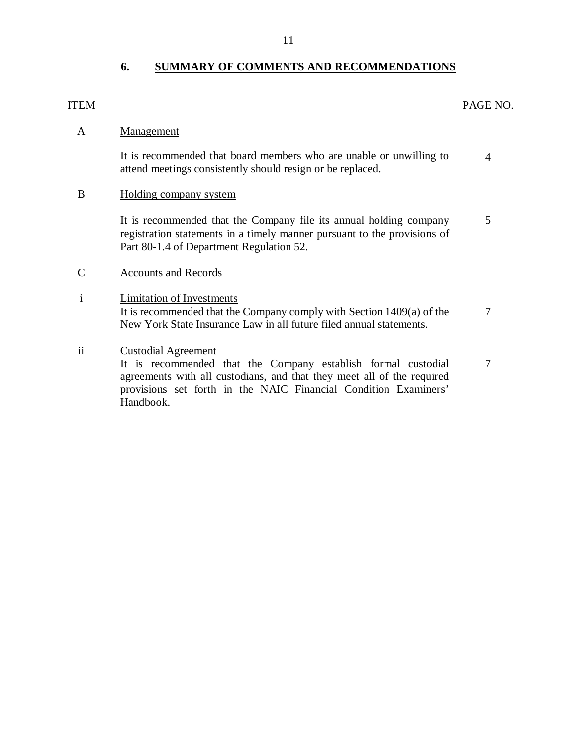# **6. SUMMARY OF COMMENTS AND RECOMMENDATIONS**

# ITEM PAGE NO.

# A Management

It is recommended that board members who are unable or unwilling to attend meetings consistently should resign or be replaced. 4

# B Holding company system

It is recommended that the Company file its annual holding company registration statements in a timely manner pursuant to the provisions of Part 80-1.4 of Department Regulation 52. 5

# C Accounts and Records

i Limitation of Investments It is recommended that the Company comply with Section 1409(a) of the New York State Insurance Law in all future filed annual statements. 7

# ii Custodial Agreement

It is recommended that the Company establish formal custodial agreements with all custodians, and that they meet all of the required provisions set forth in the NAIC Financial Condition Examiners' Handbook. 7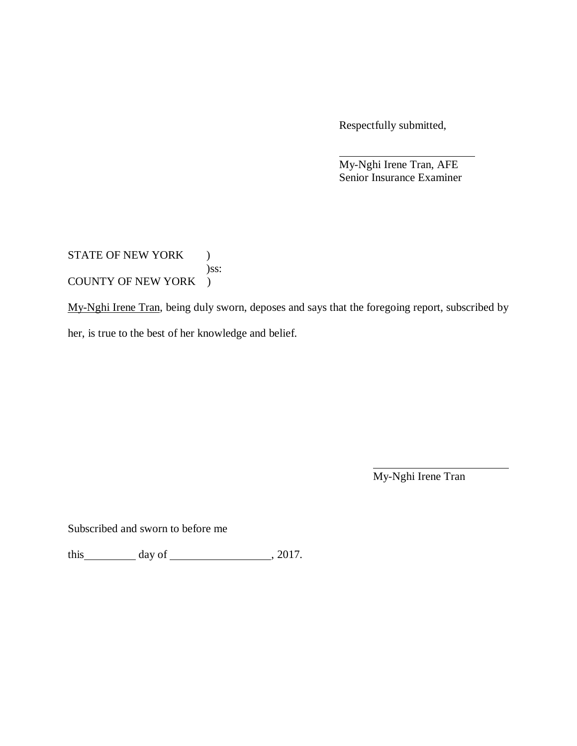Respectfully submitted,

My-Nghi Irene Tran, AFE Senior Insurance Examiner

STATE OF NEW YORK ) )ss: COUNTY OF NEW YORK )

My-Nghi Irene Tran, being duly sworn, deposes and says that the foregoing report, subscribed by

her, is true to the best of her knowledge and belief.

My-Nghi Irene Tran

Subscribed and sworn to before me

this  $\_\_\_\_\_$  day of  $\_\_\_\_\_\_$ , 2017.